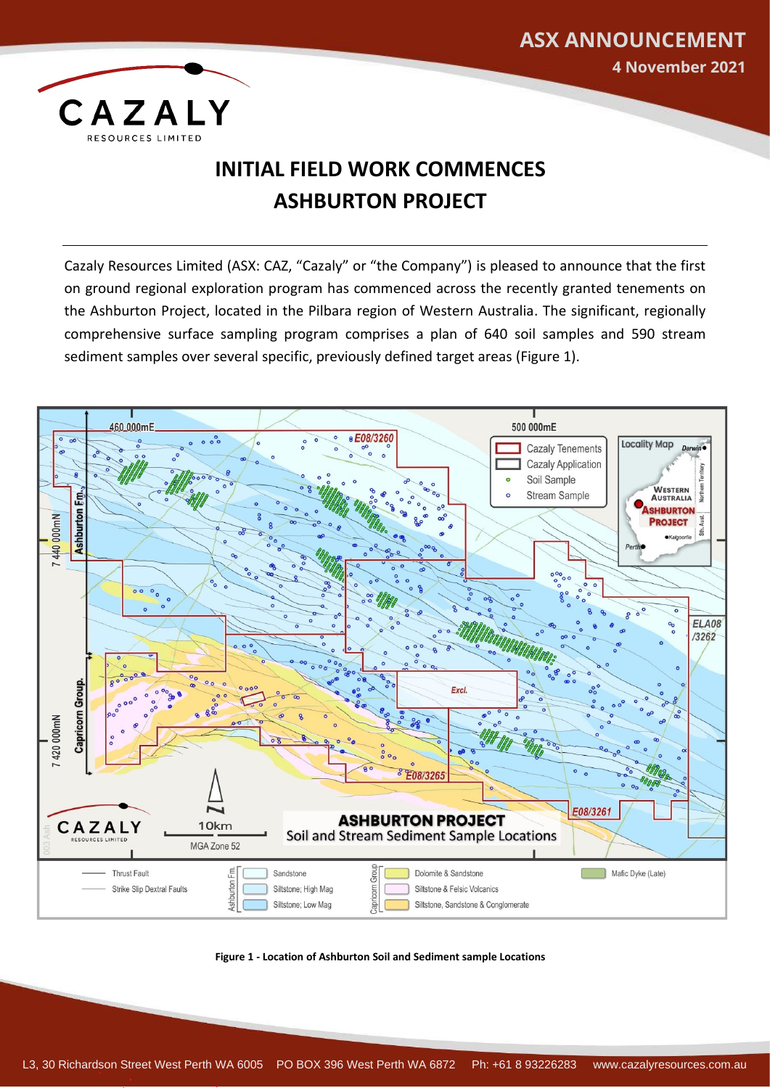

## **INITIAL FIELD WORK COMMENCES ASHBURTON PROJECT**

**ASX ANNOUNCEMENT**

**4 November 2021**

Cazaly Resources Limited (ASX: CAZ, "Cazaly" or "the Company") is pleased to announce that the first on ground regional exploration program has commenced across the recently granted tenements on the Ashburton Project, located in the Pilbara region of Western Australia. The significant, regionally comprehensive surface sampling program comprises a plan of 640 soil samples and 590 stream sediment samples over several specific, previously defined target areas (Figure 1).



**Figure 1 - Location of Ashburton Soil and Sediment sample Locations**